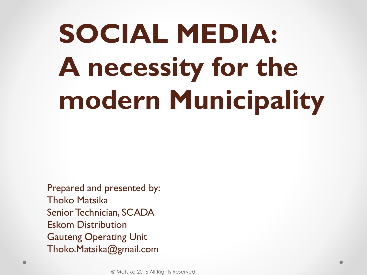# **SOCIAL MEDIA: A necessity for the modern Municipality**

Prepared and presented by: Thoko Matsika Senior Technician, SCADA Eskom Distribution Gauteng Operating Unit Thoko.Matsika@gmail.com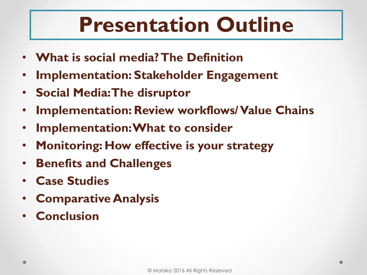## **Presentation Outline**

- **What is social media? The Definition**
- **Implementation: Stakeholder Engagement**
- **Social Media: The disruptor**
- **Implementation: Review workflows/ Value Chains**
- **Implementation: What to consider**
- **Monitoring: How effective is your strategy**
- **Benefits and Challenges**
- **Case Studies**
- **Comparative Analysis**
- **Conclusion**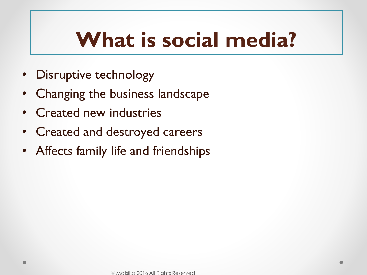## **What is social media?**

- Disruptive technology
- Changing the business landscape
- Created new industries
- Created and destroyed careers
- Affects family life and friendships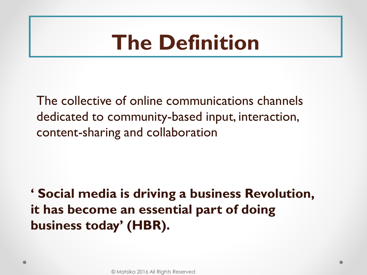## **The Definition**

The collective of online communications channels dedicated to community-based input, interaction, content-sharing and collaboration

**' Social media is driving a business Revolution, it has become an essential part of doing business today' (HBR).**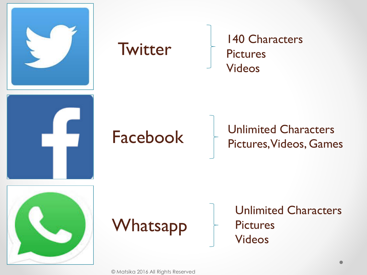

## **Twitter**

140 Characters **Pictures** Videos

## Facebook

### Unlimited Characters Pictures, Videos, Games





Unlimited Characters **Pictures** Videos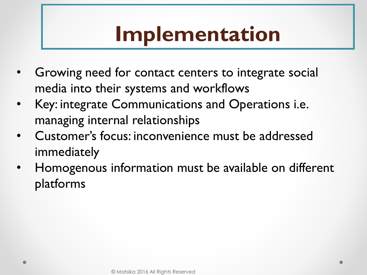## **Implementation**

- Growing need for contact centers to integrate social media into their systems and workflows
- Key: integrate Communications and Operations i.e. managing internal relationships
- Customer's focus: inconvenience must be addressed immediately
- Homogenous information must be available on different platforms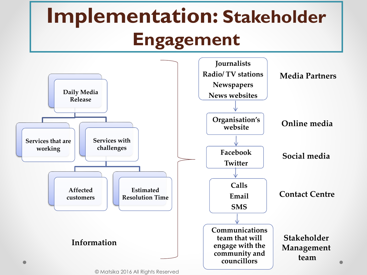## **Implementation: Stakeholder Engagement**



<sup>©</sup> Matsika 2016 All Rights Reserved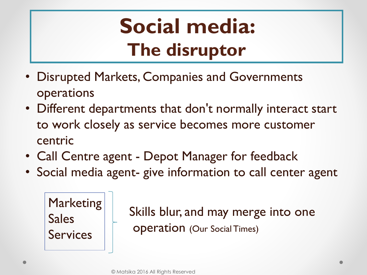## **Social media: The disruptor**

- Disrupted Markets, Companies and Governments operations
- Different departments that don't normally interact start to work closely as service becomes more customer centric
- Call Centre agent Depot Manager for feedback
- Social media agent- give information to call center agent

**Marketing** Sales **Services** 

Skills blur, and may merge into one operation (Our Social Times)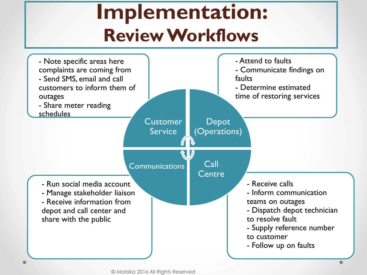## **Implementation: Review Workflows**

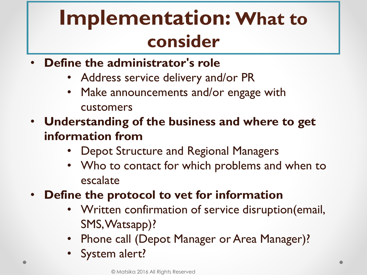## **Implementation: What to consider**

- **Define the administrator's role**
	- Address service delivery and/or PR
	- Make announcements and/or engage with customers
- **Understanding of the business and where to get information from**
	- Depot Structure and Regional Managers
	- Who to contact for which problems and when to escalate
- **Define the protocol to vet for information**
	- Written confirmation of service disruption(email, SMS, Watsapp)?
	- Phone call (Depot Manager or Area Manager)?
	- System alert?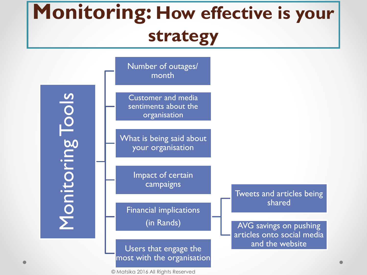## **Monitoring: How effective is your strategy**

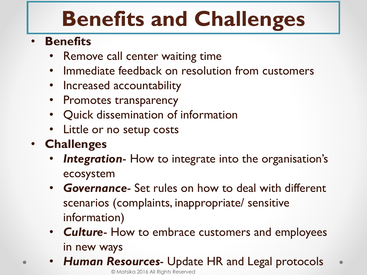## **Benefits and Challenges**

### • **Benefits**

- Remove call center waiting time
- Immediate feedback on resolution from customers
- Increased accountability
- Promotes transparency
- Quick dissemination of information
- Little or no setup costs
- **Challenges**
	- **Integration-** How to integrate into the organisation's ecosystem
	- *Governance* Set rules on how to deal with different scenarios (complaints, inappropriate/ sensitive information)
	- *Culture* How to embrace customers and employees in new ways
	- *Human Resources* Update HR and Legal protocols  $\bullet$ © Matsika 2016 All Rights Reserved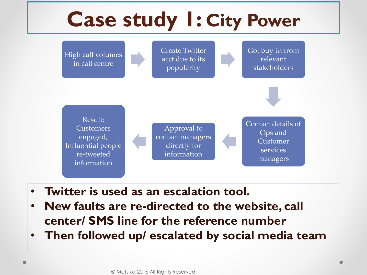

- **Twitter is used as an escalation tool.**
- **New faults are re-directed to the website, call center/ SMS line for the reference number**
- **Then followed up/ escalated by social media team**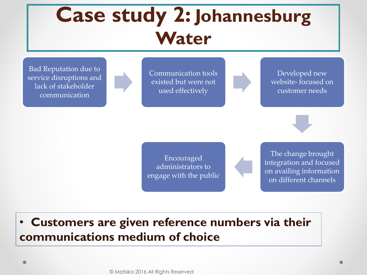## **Case study 2: Johannesburg Water**

Bad Reputation due to service disruptions and lack of stakeholder communication

Communication tools existed but were not used effectively

Developed new website- focused on customer needs



Encouraged administrators to engage with the public

The change brought integration and focused on availing information on different channels

#### • **Customers are given reference numbers via their communications medium of choice**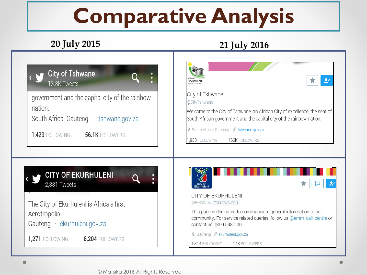## **Comparative Analysis**

#### **20 July 2015 21 July 2016**

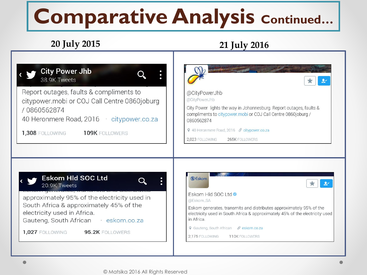## **Comparative Analysis Continued…**

#### **20 July 2015 21 July 2016**

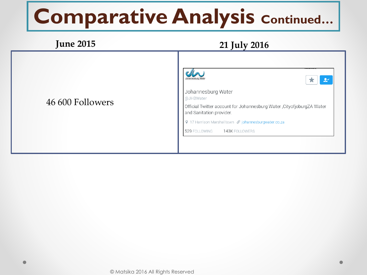## **Comparative Analysis Continued…**

#### **June 2015 21 July 2016**  $2<sup>1</sup>$  $\bigstar$ Johannesburg Water @JHBWater 46 600 Followers Official Twitter account for Johannesburg Water , CityofjoburgZA Water and Sanitation provider. Q 17 Harrison Marshalltown ∂ johannesburgwater.co.za 529 FOLLOWING 143K FOLLOWERS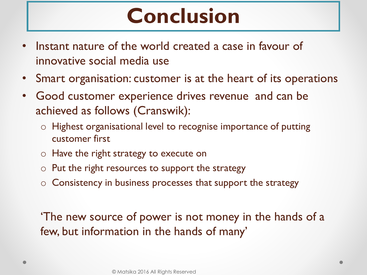## **Conclusion**

- Instant nature of the world created a case in favour of innovative social media use
- Smart organisation: customer is at the heart of its operations
- Good customer experience drives revenue and can be achieved as follows (Cranswik):
	- o Highest organisational level to recognise importance of putting customer first
	- o Have the right strategy to execute on
	- $\circ$  Put the right resources to support the strategy
	- $\circ$  Consistency in business processes that support the strategy

'The new source of power is not money in the hands of a few, but information in the hands of many'